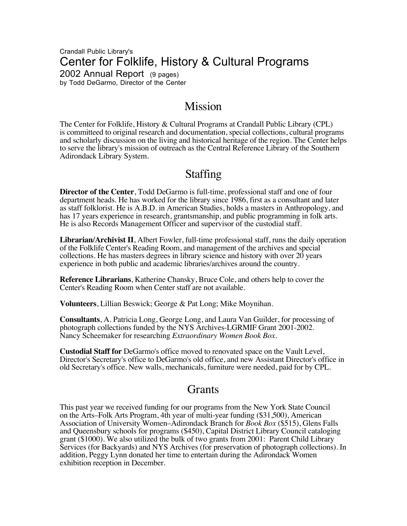# Crandall Public Library's Center for Folklife, History & Cultural Programs 2002 Annual Report (9 pages) by Todd DeGarmo, Director of the Center

# Mission

The Center for Folklife, History & Cultural Programs at Crandall Public Library (CPL) is committeed to original research and documentation, special collections, cultural programs and scholarly discussion on the living and historical heritage of the region. The Center helps to serve the library's mission of outreach as the Central Reference Library of the Southern Adirondack Library System.

# Staffing

**Director of the Center**, Todd DeGarmo is full-time, professional staff and one of four department heads. He has worked for the library since 1986, first as a consultant and later as staff folklorist. He is A.B.D. in American Studies, holds a masters in Anthropology, and has 17 years experience in research, grantsmanship, and public programming in folk arts. He is also Records Management Officer and supervisor of the custodial staff.

**Librarian/Archivist II**, Albert Fowler, full-time professional staff, runs the daily operation of the Folklife Center's Reading Room, and management of the archives and special collections. He has masters degrees in library science and history with over 20 years experience in both public and academic libraries/archives around the country.

**Reference Librarians**, Katherine Chansky, Bruce Cole, and others help to cover the Center's Reading Room when Center staff are not available.

**Volunteers**, Lillian Beswick; George & Pat Long; Mike Moynihan.

**Consultants**, A. Patricia Long, George Long, and Laura Van Guilder, for processing of photograph collections funded by the NYS Archives-LGRMIF Grant 2001-2002. Nancy Scheemaker for researching *Extraordinary Women Book Box*.

**Custodial Staff for** DeGarmo's office moved to renovated space on the Vault Level, Director's Secretary's office to DeGarmo's old office, and new Assistant Director's office in old Secretary's office. New walls, mechanicals, furniture were needed, paid for by CPL.

# Grants

This past year we received funding for our programs from the New York State Council on the Arts–Folk Arts Program, 4th year of multi-year funding (\$31,500), American Association of University Women–Adirondack Branch for *Book Box* (\$515), Glens Falls and Queensbury schools for programs (\$450), Capital District Library Council cataloging grant (\$1000). We also utilized the bulk of two grants from 2001: Parent Child Library Services (for Backyards) and NYS Archives (for preservation of photograph collections). In addition, Peggy Lynn donated her time to entertain during the Adirondack Women exhibition reception in December.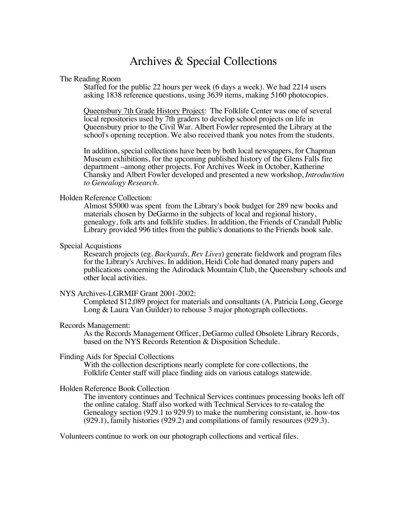# Archives & Special Collections

#### The Reading Room

Staffed for the public 22 hours per week (6 days a week). We had 2214 users asking 1838 reference questions, using 3639 items, making 5160 photocopies.

Queensbury 7th Grade History Project: The Folklife Center was one of several local repositories used by 7th graders to develop school projects on life in Queensbury prior to the Civil War. Albert Fowler represented the Library at the school's opening reception. We also received thank you notes from the students.

In addition, special collections have been by both local newspapers, for Chapman Museum exhibitions, for the upcoming published history of the Glens Falls fire department –among other projects. For Archives Week in October, Katherine Chansky and Albert Fowler developed and presented a new workshop, *Introduction to Genealogy Research.*

#### Holden Reference Collection:

Almost \$5000 was spent from the Library's book budget for 289 new books and materials chosen by DeGarmo in the subjects of local and regional history, genealogy, folk arts and folklife studies. In addition, the Friends of Crandall Public Library provided 996 titles from the public's donations to the Friends book sale.

## Special Acquistions

Research projects (eg. *Backyards, Rev Lives*) generate fieldwork and program files for the Library's Archives. In addition, Heidi Cole had donated many papers and publications concerning the Adirodack Mountain Club, the Queensbury schools and other local activities.

### NYS Archives-LGRMIF Grant 2001-2002:

Completed \$12,089 project for materials and consultants (A. Patricia Long, George Long & Laura Van Guilder) to rehouse 3 major photograph collections.

#### Records Management:

As the Records Management Officer, DeGarmo culled Obsolete Library Records, based on the NYS Records Retention & Disposition Schedule.

Finding Aids for Special Collections<br>With the collection descriptions nearly complete for core collections, the Folklife Center staff will place finding aids on various catalogs statewide.

# Holden Reference Book Collection

The inventory continues and Technical Services continues processing books left off the online catalog. Staff also worked with Technical Services to re-catalog the Genealogy section (929.1 to 929.9) to make the numbering consistant, ie. how-tos (929.1), family histories (929.2) and compilations of family resources (929.3).

Volunteers continue to work on our photograph collections and vertical files.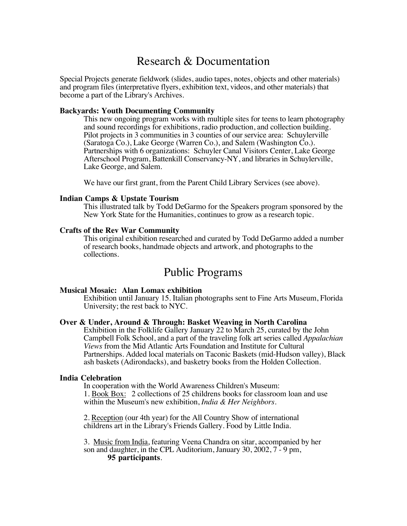# Research & Documentation

Special Projects generate fieldwork (slides, audio tapes, notes, objects and other materials) and program files (interpretative flyers, exhibition text, videos, and other materials) that become a part of the Library's Archives.

# **Backyards: Youth Documenting Community**

This new ongoing program works with multiple sites for teens to learn photography and sound recordings for exhibitions, radio production, and collection building. Pilot projects in 3 communities in 3 counties of our service area: Schuylerville (Saratoga Co.), Lake George (Warren Co.), and Salem (Washington Co.). Partnerships with 6 organizations: Schuyler Canal Visitors Center, Lake George Afterschool Program, Battenkill Conservancy-NY, and libraries in Schuylerville, Lake George, and Salem.

We have our first grant, from the Parent Child Library Services (see above).

# **Indian Camps & Upstate Tourism**

This illustrated talk by Todd DeGarmo for the Speakers program sponsored by the New York State for the Humanities, continues to grow as a research topic.

### **Crafts of the Rev War Community**

This original exhibition researched and curated by Todd DeGarmo added a number of research books, handmade objects and artwork, and photographs to the collections.

# Public Programs

# **Musical Mosaic: Alan Lomax exhibition**

Exhibition until January 15. Italian photographs sent to Fine Arts Museum, Florida University; the rest back to NYC.

# **Over & Under, Around & Through: Basket Weaving in North Carolina**

Exhibition in the Folklife Gallery January 22 to March 25, curated by the John Campbell Folk School, and a part of the traveling folk art series called *Appalachian Views* from the Mid Atlantic Arts Foundation and Institute for Cultural Partnerships. Added local materials on Taconic Baskets (mid-Hudson valley), Black ash baskets (Adirondacks), and basketry books from the Holden Collection.

### **India Celebration**

In cooperation with the World Awareness Children's Museum: 1. Book Box: 2 collections of 25 childrens books for classroom loan and use within the Museum's new exhibition, *India & Her Neighbors*.

2. Reception (our 4th year) for the All Country Show of international childrens art in the Library's Friends Gallery. Food by Little India.

3. Music from India, featuring Veena Chandra on sitar, accompanied by her son and daughter, in the CPL Auditorium, January 30, 2002, 7 - 9 pm, **95 participants**.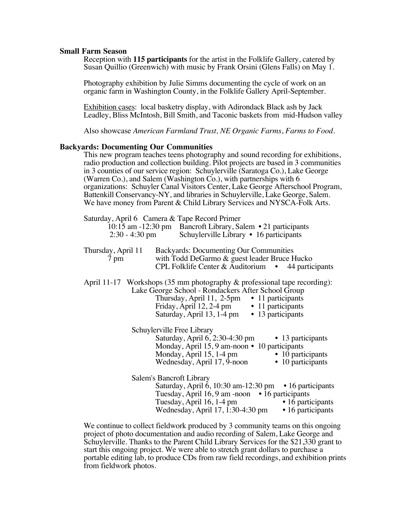#### **Small Farm Season**

Reception with **115 participants** for the artist in the Folklife Gallery, catered by Susan Quillio (Greenwich) with music by Frank Orsini (Glens Falls) on May 1.

Photography exhibition by Julie Simms documenting the cycle of work on an organic farm in Washington County, in the Folklife Gallery April-September.

Exhibition cases: local basketry display, with Adirondack Black ash by Jack Leadley, Bliss McIntosh, Bill Smith, and Taconic baskets from mid-Hudson valley

Also showcase *American Farmland Trust, NE Organic Farms*, *Farms to Food*.

#### **Backyards: Documenting Our Communities**

This new program teaches teens photography and sound recording for exhibitions, radio production and collection building. Pilot projects are based in 3 communities in 3 counties of our service region: Schuylerville (Saratoga Co.), Lake George (Warren Co.), and Salem (Washington Co.), with partnerships with 6 organizations: Schuyler Canal Visitors Center, Lake George Afterschool Program, Battenkill Conservancy-NY, and libraries in Schuylerville, Lake George, Salem. We have money from Parent & Child Library Services and NYSCA-Folk Arts.

| Saturday, April 6 Camera & Tape Record Primer | 10:15 am -12:30 pm Bancroft Library, Salem • 21 participants<br>2:30 - 4:30 pm Schuylerville Library • 16 participants                                                                                                                                                                |
|-----------------------------------------------|---------------------------------------------------------------------------------------------------------------------------------------------------------------------------------------------------------------------------------------------------------------------------------------|
| Thursday, April 11<br>7 pm                    | Backyards: Documenting Our Communities<br>with Todd DeGarmo & guest leader Bruce Hucko<br>CPL Folklife Center & Auditorium • 44 participants                                                                                                                                          |
|                                               | April 11-17 Workshops $(35 \text{ mm}$ photography & professional tape recording):<br>Lake George School - Rondackers After School Group<br>Thursday, April 11, 2-5pm • 11 participants<br>Friday, April 12, 2-4 pm • 11 participants<br>Saturday, April 13, 1-4 pm • 13 participants |
| Schuylerville Free Library                    | Saturday, April 6, 2:30-4:30 pm<br>$\bullet$ 13 participants<br>Monday, April 15, 9 am-noon • 10 participants<br>Monday, April 15, 1-4 pm<br>$\bullet$ 10 participants<br>Wednesday, April 17, 9-noon<br>$\bullet$ 10 participants                                                    |
| Salem's Bancroft Library                      | Saturday, April 6, 10:30 am-12:30 pm $\cdot$ 16 participants<br>Tuesday, April $16, 9$ am -noon $\cdot 16$ participants<br>Tuesday, April 16, 1-4 pm<br>$\bullet$ 16 participants<br>Wednesday, April 17, 1:30-4:30 pm<br>• 16 participants                                           |

We continue to collect fieldwork produced by 3 community teams on this ongoing project of photo documentation and audio recording of Salem, Lake George and Schuylerville. Thanks to the Parent Child Library Services for the \$21,330 grant to start this ongoing project. We were able to stretch grant dollars to purchase a portable editing lab, to produce CDs from raw field recordings, and exhibition prints from fieldwork photos.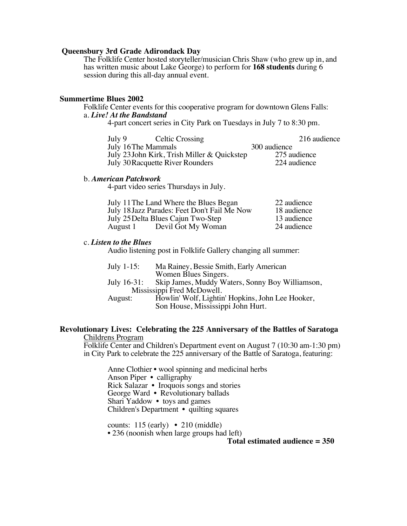# **Queensbury 3rd Grade Adirondack Day**

The Folklife Center hosted storyteller/musician Chris Shaw (who grew up in, and has written music about Lake George) to perform for **168 students** during 6 session during this all-day annual event.

### **Summertime Blues 2002**

Folklife Center events for this cooperative program for downtown Glens Falls: a. *Live! At the Bandstand*

4-part concert series in City Park on Tuesdays in July 7 to 8:30 pm.

| July 9<br><b>Celtic Crossing</b>            | 216 audience |
|---------------------------------------------|--------------|
| July 16 The Mammals                         | 300 audience |
| July 23 John Kirk, Trish Miller & Quickstep | 275 audience |
| July 30 Racquette River Rounders            | 224 audience |

# b. *American Patchwork*

4-part video series Thursdays in July.

| July 11 The Land Where the Blues Began       | 22 audience |
|----------------------------------------------|-------------|
| July 18 Jazz Parades: Feet Don't Fail Me Now | 18 audience |
| July 25 Delta Blues Cajun Two-Step           | 13 audience |
| Devil Got My Woman<br>August 1               | 24 audience |

# c. *Listen to the Blues*

Audio listening post in Folklife Gallery changing all summer:

| July 1-15:                 | Ma Rainey, Bessie Smith, Early American          |
|----------------------------|--------------------------------------------------|
|                            | Women Blues Singers.                             |
| July 16-31:                | Skip James, Muddy Waters, Sonny Boy Williamson,  |
| Mississippi Fred McDowell. |                                                  |
| August:                    | Howlin' Wolf, Lightin' Hopkins, John Lee Hooker, |
|                            | Son House, Mississippi John Hurt.                |

#### **Revolutionary Lives: Celebrating the 225 Anniversary of the Battles of Saratoga** Childrens Program

Folklife Center and Children's Department event on August 7 (10:30 am-1:30 pm) in City Park to celebrate the 225 anniversary of the Battle of Saratoga, featuring:

Anne Clothier • wool spinning and medicinal herbs Anson Piper • calligraphy Rick Salazar • Iroquois songs and stories George Ward • Revolutionary ballads Shari Yaddow • toys and games Children's Department • quilting squares

counts:  $115$  (early) •  $210$  (middle) • 236 (noonish when large groups had left)

**Total estimated audience = 350**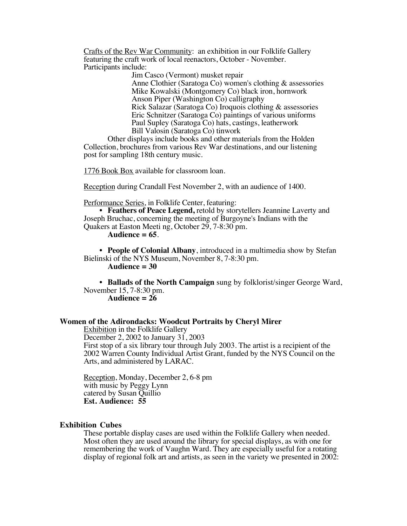Crafts of the Rev War Community: an exhibition in our Folklife Gallery featuring the craft work of local reenactors, October - November. Participants include:

> Jim Casco (Vermont) musket repair Anne Clothier (Saratoga Co) women's clothing & assessories Mike Kowalski (Montgomery Co) black iron, hornwork Anson Piper (Washington Co) calligraphy Rick Salazar (Saratoga Co) Iroquois clothing & assessories Eric Schnitzer (Saratoga Co) paintings of various uniforms Paul Supley (Saratoga Co) hats, castings, leatherwork Bill Valosin (Saratoga Co) tinwork

Other displays include books and other materials from the Holden Collection, brochures from various Rev War destinations, and our listening post for sampling 18th century music.

1776 Book Box available for classroom loan.

Reception during Crandall Fest November 2, with an audience of 1400.

Performance Series, in Folklife Center, featuring:

 • **Feathers of Peace Legend,** retold by storytellers Jeannine Laverty and Joseph Bruchac, concerning the meeting of Burgoyne's Indians with the Quakers at Easton Meeti ng, October 29, 7-8:30 pm. **Audience = 65**.

 • **People of Colonial Albany**, introduced in a multimedia show by Stefan Bielinski of the NYS Museum, November 8, 7-8:30 pm.

**Audience = 30**

 • **Ballads of the North Campaign** sung by folklorist/singer George Ward, November 15, 7-8:30 pm. **Audience = 26**

#### **Women of the Adirondacks: Woodcut Portraits by Cheryl Mirer**

Exhibition in the Folklife Gallery December 2, 2002 to January 31, 2003 First stop of a six library tour through July 2003. The artist is a recipient of the 2002 Warren County Individual Artist Grant, funded by the NYS Council on the Arts, and administered by LARAC.

Reception, Monday, December 2, 6-8 pm with music by Peggy Lynn catered by Susan Quillio **Est. Audience: 55**

# **Exhibition Cubes**

These portable display cases are used within the Folklife Gallery when needed. Most often they are used around the library for special displays, as with one for remembering the work of Vaughn Ward. They are especially useful for a rotating display of regional folk art and artists, as seen in the variety we presented in 2002: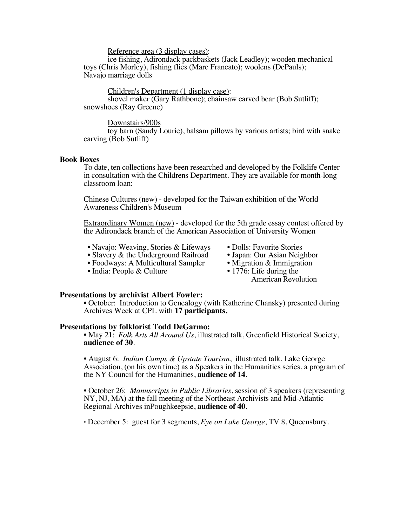Reference area (3 display cases):

ice fishing, Adirondack packbaskets (Jack Leadley); wooden mechanical toys (Chris Morley), fishing flies (Marc Francato); woolens (DePauls); Navajo marriage dolls

Children's Department (1 display case):

shovel maker (Gary Rathbone); chainsaw carved bear (Bob Sutliff); snowshoes (Ray Greene)

Downstairs/900s

toy barn (Sandy Lourie), balsam pillows by various artists; bird with snake carving (Bob Sutliff)

# **Book Boxes**

To date, ten collections have been researched and developed by the Folklife Center in consultation with the Childrens Department. They are available for month-long classroom loan:

Chinese Cultures (new) - developed for the Taiwan exhibition of the World Awareness Children's Museum

Extraordinary Women (new) - developed for the 5th grade essay contest offered by the Adirondack branch of the American Association of University Women

- Navajo: Weaving, Stories & Lifeways Dolls: Favorite Stories<br>• Slavery & the Underground Railroad Japan: Our Asian Neighbor
- Slavery & the Underground Railroad Japan: Our Asian Neighbor Foodways: A Multicultural Sampler Migration & Immigration
- Foodways: A Multicultural Sampler Migration & Immigra<br>• India: People & Culture 1776: Life during the
- $\bullet$  India: People & Culture
- 
- 
- 
- - American Revolution

**Presentations by archivist Albert Fowler:**<br>
• October: Introduction to Genealogy (with Katherine Chansky) presented during Archives Week at CPL with **17 participants.**

### **Presentations by folklorist Todd DeGarmo:**

**•** May 21: *Folk Arts All Around Us*, illustrated talk, Greenfield Historical Society, **audience of 30**.

• August 6: *Indian Camps & Upstate Tourism*, illustrated talk, Lake George Association, (on his own time) as a Speakers in the Humanities series, a program of the NY Council for the Humanities, **audience of 14**.

• October 26: *Manuscripts in Public Libraries*, session of 3 speakers (representing NY, NJ, MA) at the fall meeting of the Northeast Archivists and Mid-Atlantic Regional Archives inPoughkeepsie, **audience of 40**.

**•** December 5: guest for 3 segments, *Eye on Lake George*, TV 8, Queensbury.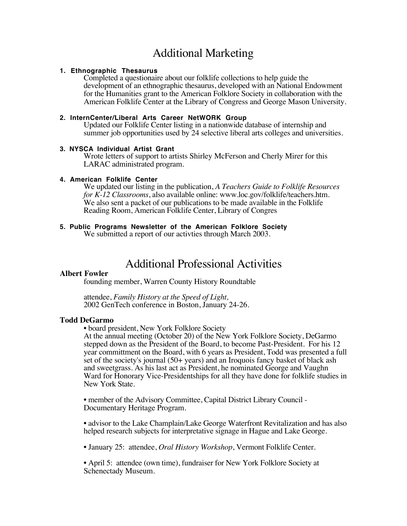# Additional Marketing

# **1. Ethnographic Thesaurus**

Completed a questionaire about our folklife collections to help guide the development of an ethnographic thesaurus, developed with an National Endowment for the Humanities grant to the American Folklore Society in collaboration with the American Folklife Center at the Library of Congress and George Mason University.

# **2. InternCenter/Liberal Arts Career NetWORK Group**

Updated our Folklife Center listing in a nationwide database of internship and summer job opportunities used by 24 selective liberal arts colleges and universities.

# **3. NYSCA Individual Artist Grant**

Wrote letters of support to artists Shirley McFerson and Cherly Mirer for this LARAC administrated program.

# **4. American Folklife Center**

We updated our listing in the publication, *A Teachers Guide to Folklife Resources for K-12 Classrooms*, also available online: www.loc.gov/folklife/teachers.htm. We also sent a packet of our publications to be made available in the Folklife Reading Room, American Folklife Center, Library of Congres

# **5. Public Programs Newsletter of the American Folklore Society**

We submitted a report of our activties through March 2003.

# Additional Professional Activities

### **Albert Fowler**

founding member, Warren County History Roundtable

attendee, *Family History at the Speed of Light,* 2002 GenTech conference in Boston, January 24-26.

# **Todd DeGarmo**

• board president, New York Folklore Society

At the annual meeting (October 20) of the New York Folklore Society, DeGarmo stepped down as the President of the Board, to become Past-President. For his 12 year committment on the Board, with 6 years as President, Todd was presented a full set of the society's journal (50+ years) and an Iroquois fancy basket of black ash and sweetgrass. As his last act as President, he nominated George and Vaughn Ward for Honorary Vice-Presidentships for all they have done for folklife studies in New York State.

• member of the Advisory Committee, Capital District Library Council - Documentary Heritage Program.

• advisor to the Lake Champlain/Lake George Waterfront Revitalization and has also helped research subjects for interpretative signage in Hague and Lake George.

• January 25: attendee, *Oral History Workshop*, Vermont Folklife Center.

• April 5: attendee (own time), fundraiser for New York Folklore Society at Schenectady Museum.